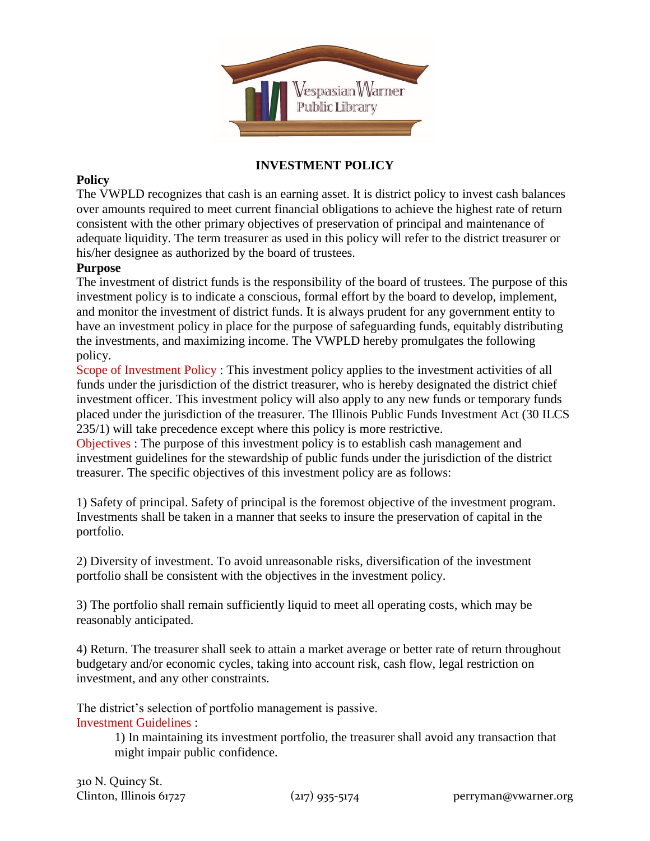

## **INVESTMENT POLICY**

## **Policy**

The VWPLD recognizes that cash is an earning asset. It is district policy to invest cash balances over amounts required to meet current financial obligations to achieve the highest rate of return consistent with the other primary objectives of preservation of principal and maintenance of adequate liquidity. The term treasurer as used in this policy will refer to the district treasurer or his/her designee as authorized by the board of trustees.

## **Purpose**

The investment of district funds is the responsibility of the board of trustees. The purpose of this investment policy is to indicate a conscious, formal effort by the board to develop, implement, and monitor the investment of district funds. It is always prudent for any government entity to have an investment policy in place for the purpose of safeguarding funds, equitably distributing the investments, and maximizing income. The VWPLD hereby promulgates the following policy.

Scope of Investment Policy : This investment policy applies to the investment activities of all funds under the jurisdiction of the district treasurer, who is hereby designated the district chief investment officer. This investment policy will also apply to any new funds or temporary funds placed under the jurisdiction of the treasurer. The Illinois Public Funds Investment Act (30 ILCS 235/1) will take precedence except where this policy is more restrictive.

Objectives : The purpose of this investment policy is to establish cash management and investment guidelines for the stewardship of public funds under the jurisdiction of the district treasurer. The specific objectives of this investment policy are as follows:

1) Safety of principal. Safety of principal is the foremost objective of the investment program. Investments shall be taken in a manner that seeks to insure the preservation of capital in the portfolio.

2) Diversity of investment. To avoid unreasonable risks, diversification of the investment portfolio shall be consistent with the objectives in the investment policy.

3) The portfolio shall remain sufficiently liquid to meet all operating costs, which may be reasonably anticipated.

4) Return. The treasurer shall seek to attain a market average or better rate of return throughout budgetary and/or economic cycles, taking into account risk, cash flow, legal restriction on investment, and any other constraints.

The district's selection of portfolio management is passive. Investment Guidelines :

> 1) In maintaining its investment portfolio, the treasurer shall avoid any transaction that might impair public confidence.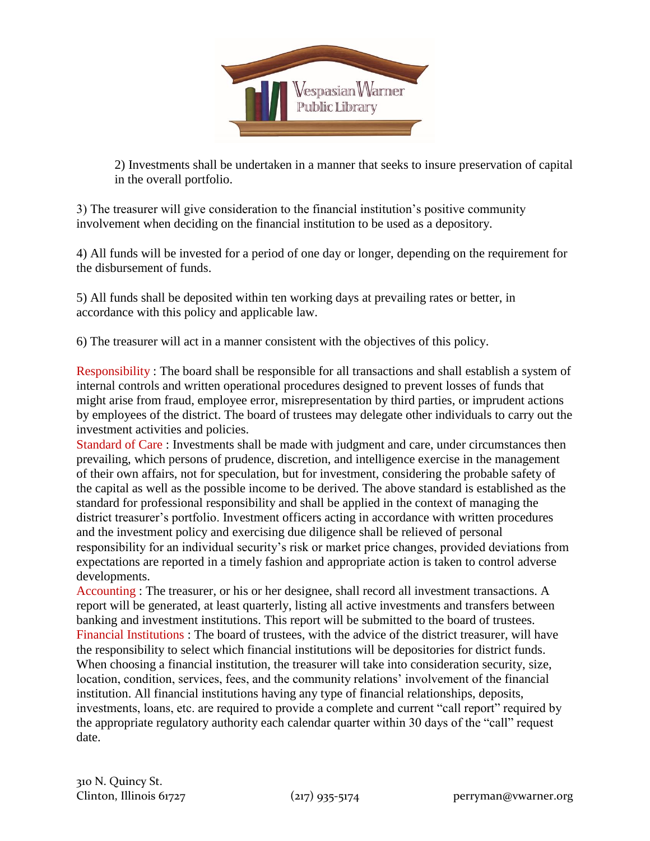

2) Investments shall be undertaken in a manner that seeks to insure preservation of capital in the overall portfolio.

3) The treasurer will give consideration to the financial institution's positive community involvement when deciding on the financial institution to be used as a depository.

4) All funds will be invested for a period of one day or longer, depending on the requirement for the disbursement of funds.

5) All funds shall be deposited within ten working days at prevailing rates or better, in accordance with this policy and applicable law.

6) The treasurer will act in a manner consistent with the objectives of this policy.

Responsibility : The board shall be responsible for all transactions and shall establish a system of internal controls and written operational procedures designed to prevent losses of funds that might arise from fraud, employee error, misrepresentation by third parties, or imprudent actions by employees of the district. The board of trustees may delegate other individuals to carry out the investment activities and policies.

Standard of Care : Investments shall be made with judgment and care, under circumstances then prevailing, which persons of prudence, discretion, and intelligence exercise in the management of their own affairs, not for speculation, but for investment, considering the probable safety of the capital as well as the possible income to be derived. The above standard is established as the standard for professional responsibility and shall be applied in the context of managing the district treasurer's portfolio. Investment officers acting in accordance with written procedures and the investment policy and exercising due diligence shall be relieved of personal responsibility for an individual security's risk or market price changes, provided deviations from expectations are reported in a timely fashion and appropriate action is taken to control adverse developments.

Accounting : The treasurer, or his or her designee, shall record all investment transactions. A report will be generated, at least quarterly, listing all active investments and transfers between banking and investment institutions. This report will be submitted to the board of trustees. Financial Institutions : The board of trustees, with the advice of the district treasurer, will have the responsibility to select which financial institutions will be depositories for district funds. When choosing a financial institution, the treasurer will take into consideration security, size, location, condition, services, fees, and the community relations' involvement of the financial institution. All financial institutions having any type of financial relationships, deposits, investments, loans, etc. are required to provide a complete and current "call report" required by the appropriate regulatory authority each calendar quarter within 30 days of the "call" request date.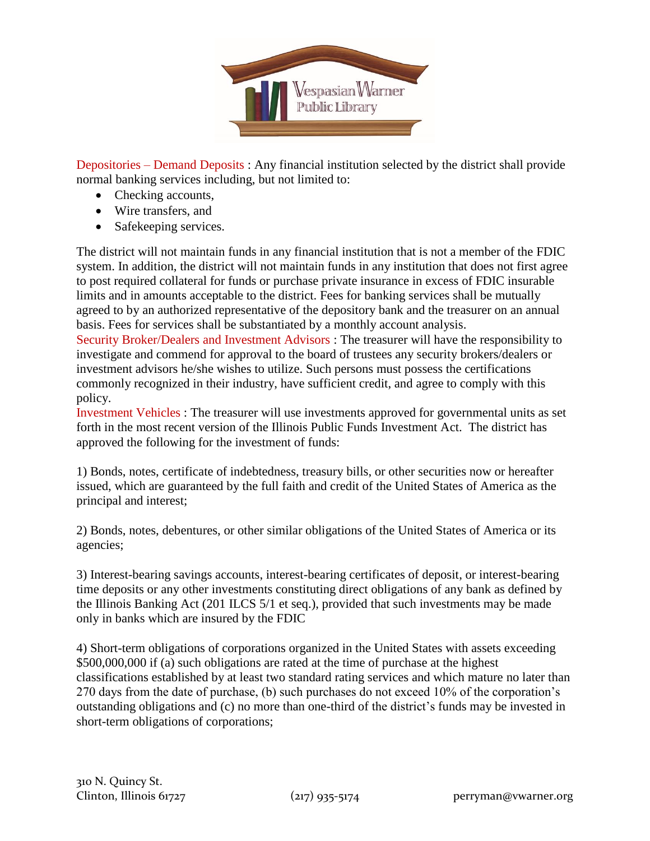

Depositories – Demand Deposits : Any financial institution selected by the district shall provide normal banking services including, but not limited to:

- Checking accounts,
- Wire transfers, and
- Safekeeping services.

The district will not maintain funds in any financial institution that is not a member of the FDIC system. In addition, the district will not maintain funds in any institution that does not first agree to post required collateral for funds or purchase private insurance in excess of FDIC insurable limits and in amounts acceptable to the district. Fees for banking services shall be mutually agreed to by an authorized representative of the depository bank and the treasurer on an annual basis. Fees for services shall be substantiated by a monthly account analysis.

Security Broker/Dealers and Investment Advisors : The treasurer will have the responsibility to investigate and commend for approval to the board of trustees any security brokers/dealers or investment advisors he/she wishes to utilize. Such persons must possess the certifications commonly recognized in their industry, have sufficient credit, and agree to comply with this policy.

Investment Vehicles : The treasurer will use investments approved for governmental units as set forth in the most recent version of the Illinois Public Funds Investment Act. The district has approved the following for the investment of funds:

1) Bonds, notes, certificate of indebtedness, treasury bills, or other securities now or hereafter issued, which are guaranteed by the full faith and credit of the United States of America as the principal and interest;

2) Bonds, notes, debentures, or other similar obligations of the United States of America or its agencies;

3) Interest-bearing savings accounts, interest-bearing certificates of deposit, or interest-bearing time deposits or any other investments constituting direct obligations of any bank as defined by the Illinois Banking Act (201 ILCS 5/1 et seq.), provided that such investments may be made only in banks which are insured by the FDIC

4) Short-term obligations of corporations organized in the United States with assets exceeding \$500,000,000 if (a) such obligations are rated at the time of purchase at the highest classifications established by at least two standard rating services and which mature no later than 270 days from the date of purchase, (b) such purchases do not exceed 10% of the corporation's outstanding obligations and (c) no more than one-third of the district's funds may be invested in short-term obligations of corporations;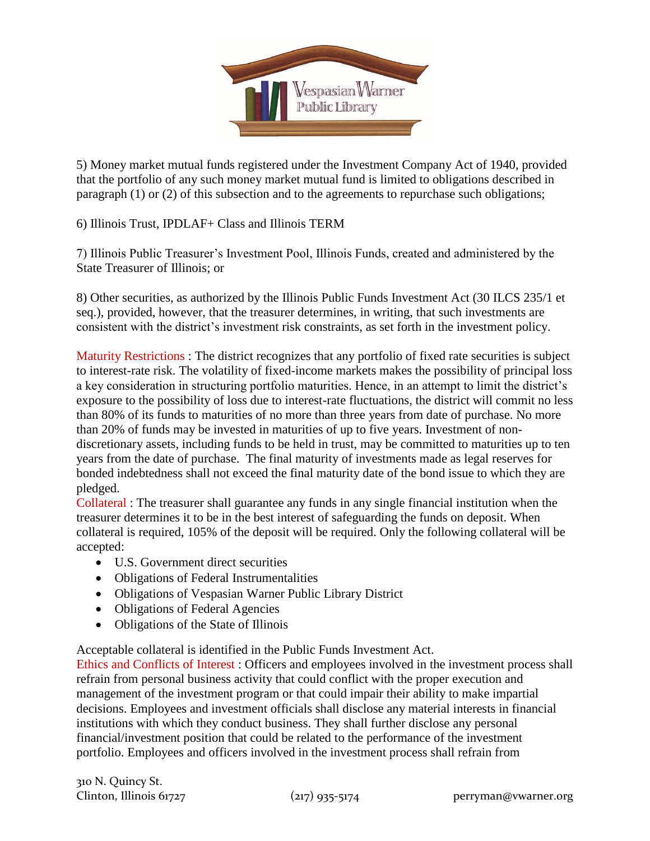

5) Money market mutual funds registered under the Investment Company Act of 1940, provided that the portfolio of any such money market mutual fund is limited to obligations described in paragraph (1) or (2) of this subsection and to the agreements to repurchase such obligations;

6) Illinois Trust, IPDLAF+ Class and Illinois TERM

7) Illinois Public Treasurer's Investment Pool, Illinois Funds, created and administered by the State Treasurer of Illinois; or

8) Other securities, as authorized by the Illinois Public Funds Investment Act (30 ILCS 235/1 et seq.), provided, however, that the treasurer determines, in writing, that such investments are consistent with the district's investment risk constraints, as set forth in the investment policy.

Maturity Restrictions : The district recognizes that any portfolio of fixed rate securities is subject to interest-rate risk. The volatility of fixed-income markets makes the possibility of principal loss a key consideration in structuring portfolio maturities. Hence, in an attempt to limit the district's exposure to the possibility of loss due to interest-rate fluctuations, the district will commit no less than 80% of its funds to maturities of no more than three years from date of purchase. No more than 20% of funds may be invested in maturities of up to five years. Investment of nondiscretionary assets, including funds to be held in trust, may be committed to maturities up to ten years from the date of purchase. The final maturity of investments made as legal reserves for bonded indebtedness shall not exceed the final maturity date of the bond issue to which they are pledged.

Collateral : The treasurer shall guarantee any funds in any single financial institution when the treasurer determines it to be in the best interest of safeguarding the funds on deposit. When collateral is required, 105% of the deposit will be required. Only the following collateral will be accepted:

- U.S. Government direct securities
- Obligations of Federal Instrumentalities
- Obligations of Vespasian Warner Public Library District
- Obligations of Federal Agencies
- Obligations of the State of Illinois

Acceptable collateral is identified in the Public Funds Investment Act.

Ethics and Conflicts of Interest : Officers and employees involved in the investment process shall refrain from personal business activity that could conflict with the proper execution and management of the investment program or that could impair their ability to make impartial decisions. Employees and investment officials shall disclose any material interests in financial institutions with which they conduct business. They shall further disclose any personal financial/investment position that could be related to the performance of the investment portfolio. Employees and officers involved in the investment process shall refrain from